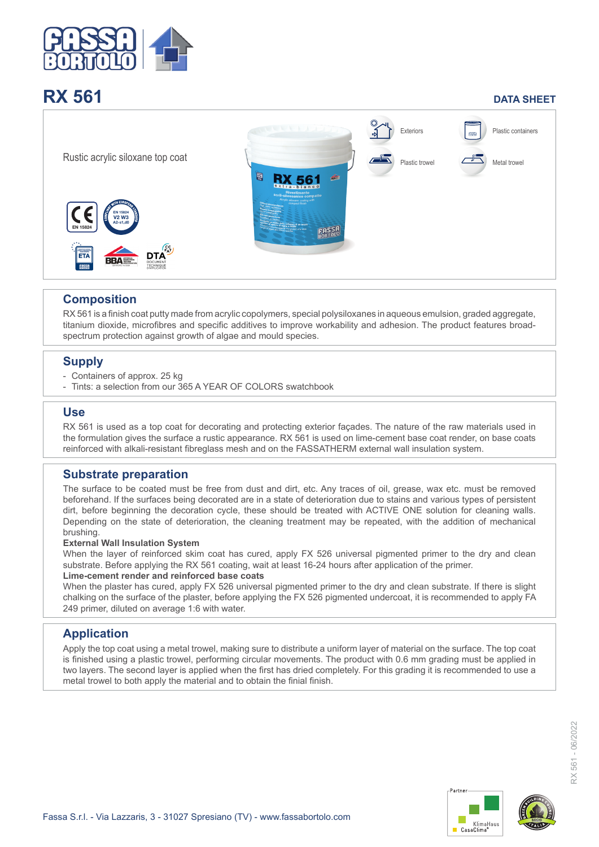

# **RX 561 DATA SHEET**



# **Composition**

RX 561 is a finish coat putty made from acrylic copolymers, special polysiloxanes in aqueous emulsion, graded aggregate, titanium dioxide, microfibres and specific additives to improve workability and adhesion. The product features broadspectrum protection against growth of algae and mould species.

# **Supply**

- Containers of approx. 25 kg
- Tints: a selection from our 365 A YEAR OF COLORS swatchbook

# **Use**

RX 561 is used as a top coat for decorating and protecting exterior façades. The nature of the raw materials used in the formulation gives the surface a rustic appearance. RX 561 is used on lime-cement base coat render, on base coats reinforced with alkali-resistant fibreglass mesh and on the FASSATHERM external wall insulation system.

# **Substrate preparation**

The surface to be coated must be free from dust and dirt, etc. Any traces of oil, grease, wax etc. must be removed beforehand. If the surfaces being decorated are in a state of deterioration due to stains and various types of persistent dirt, before beginning the decoration cycle, these should be treated with ACTIVE ONE solution for cleaning walls. Depending on the state of deterioration, the cleaning treatment may be repeated, with the addition of mechanical brushing.

#### **External Wall Insulation System**

When the layer of reinforced skim coat has cured, apply FX 526 universal pigmented primer to the dry and clean substrate. Before applying the RX 561 coating, wait at least 16-24 hours after application of the primer.

#### **Lime-cement render and reinforced base coats**

When the plaster has cured, apply FX 526 universal pigmented primer to the dry and clean substrate. If there is slight chalking on the surface of the plaster, before applying the FX 526 pigmented undercoat, it is recommended to apply FA 249 primer, diluted on average 1:6 with water.

# **Application**

Apply the top coat using a metal trowel, making sure to distribute a uniform layer of material on the surface. The top coat is finished using a plastic trowel, performing circular movements. The product with 0.6 mm grading must be applied in two layers. The second layer is applied when the first has dried completely. For this grading it is recommended to use a metal trowel to both apply the material and to obtain the finial finish.



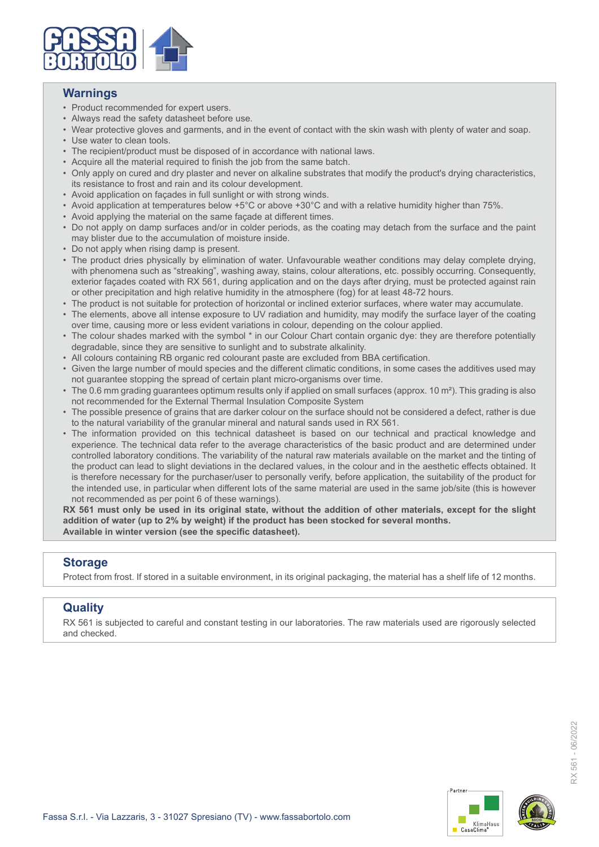

### **Warnings**

- Product recommended for expert users.
- Always read the safety datasheet before use.
- Wear protective gloves and garments, and in the event of contact with the skin wash with plenty of water and soap.
- Use water to clean tools.
- The recipient/product must be disposed of in accordance with national laws.
- Acquire all the material required to finish the job from the same batch.
- Only apply on cured and dry plaster and never on alkaline substrates that modify the product's drying characteristics, its resistance to frost and rain and its colour development.
- Avoid application on façades in full sunlight or with strong winds.
- Avoid application at temperatures below +5°C or above +30°C and with a relative humidity higher than 75%.
- Avoid applying the material on the same façade at different times.
- Do not apply on damp surfaces and/or in colder periods, as the coating may detach from the surface and the paint may blister due to the accumulation of moisture inside.
- Do not apply when rising damp is present.
- The product dries physically by elimination of water. Unfavourable weather conditions may delay complete drying, with phenomena such as "streaking", washing away, stains, colour alterations, etc. possibly occurring. Consequently, exterior façades coated with RX 561, during application and on the days after drying, must be protected against rain or other precipitation and high relative humidity in the atmosphere (fog) for at least 48-72 hours.
- The product is not suitable for protection of horizontal or inclined exterior surfaces, where water may accumulate.
- The elements, above all intense exposure to UV radiation and humidity, may modify the surface layer of the coating over time, causing more or less evident variations in colour, depending on the colour applied.
- The colour shades marked with the symbol \* in our Colour Chart contain organic dye: they are therefore potentially degradable, since they are sensitive to sunlight and to substrate alkalinity.
- All colours containing RB organic red colourant paste are excluded from BBA certification.
- Given the large number of mould species and the different climatic conditions, in some cases the additives used may not guarantee stopping the spread of certain plant micro-organisms over time.
- The 0.6 mm grading guarantees optimum results only if applied on small surfaces (approx. 10 m²). This grading is also not recommended for the External Thermal Insulation Composite System
- The possible presence of grains that are darker colour on the surface should not be considered a defect, rather is due to the natural variability of the granular mineral and natural sands used in RX 561.
- The information provided on this technical datasheet is based on our technical and practical knowledge and experience. The technical data refer to the average characteristics of the basic product and are determined under controlled laboratory conditions. The variability of the natural raw materials available on the market and the tinting of the product can lead to slight deviations in the declared values, in the colour and in the aesthetic effects obtained. It is therefore necessary for the purchaser/user to personally verify, before application, the suitability of the product for the intended use, in particular when different lots of the same material are used in the same job/site (this is however not recommended as per point 6 of these warnings).

**RX 561 must only be used in its original state, without the addition of other materials, except for the slight addition of water (up to 2% by weight) if the product has been stocked for several months. Available in winter version (see the specific datasheet).**

### **Storage**

Protect from frost. If stored in a suitable environment, in its original packaging, the material has a shelf life of 12 months.

# **Quality**

RX 561 is subjected to careful and constant testing in our laboratories. The raw materials used are rigorously selected and checked.